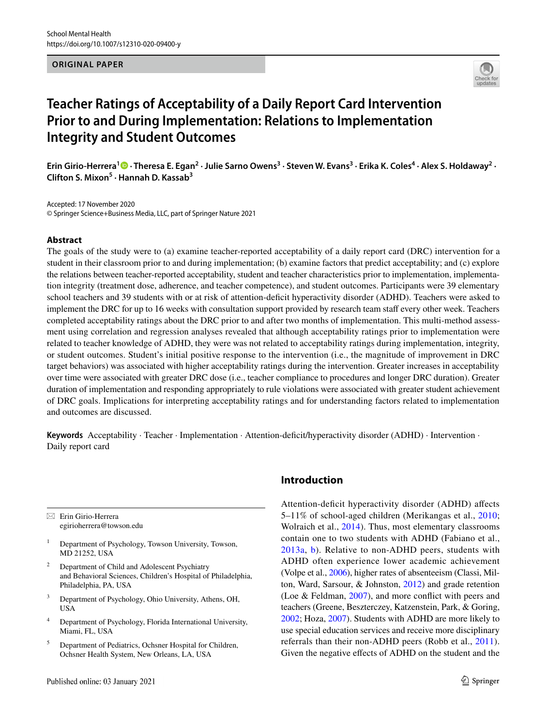#### **ORIGINAL PAPER**



# **Teacher Ratings of Acceptability of a Daily Report Card Intervention Prior to and During Implementation: Relations to Implementation Integrity and Student Outcomes**

Erin Girio-Herrera<sup>1</sup>® [·](http://orcid.org/0000-0003-4953-5201) Theresa E. Egan<sup>2</sup> · Julie Sarno Owens<sup>3</sup> · Steven W. Evans<sup>3</sup> · Erika K. Coles<sup>4</sup> · Alex S. Holdaway<sup>2</sup> · **Clifton S. Mixon<sup>5</sup> · Hannah D. Kassab3**

Accepted: 17 November 2020 © Springer Science+Business Media, LLC, part of Springer Nature 2021

## **Abstract**

The goals of the study were to (a) examine teacher-reported acceptability of a daily report card (DRC) intervention for a student in their classroom prior to and during implementation; (b) examine factors that predict acceptability; and (c) explore the relations between teacher-reported acceptability, student and teacher characteristics prior to implementation, implementation integrity (treatment dose, adherence, and teacher competence), and student outcomes. Participants were 39 elementary school teachers and 39 students with or at risk of attention-defcit hyperactivity disorder (ADHD). Teachers were asked to implement the DRC for up to 16 weeks with consultation support provided by research team staf every other week. Teachers completed acceptability ratings about the DRC prior to and after two months of implementation. This multi-method assessment using correlation and regression analyses revealed that although acceptability ratings prior to implementation were related to teacher knowledge of ADHD, they were was not related to acceptability ratings during implementation, integrity, or student outcomes. Student's initial positive response to the intervention (i.e., the magnitude of improvement in DRC target behaviors) was associated with higher acceptability ratings during the intervention. Greater increases in acceptability over time were associated with greater DRC dose (i.e., teacher compliance to procedures and longer DRC duration). Greater duration of implementation and responding appropriately to rule violations were associated with greater student achievement of DRC goals. Implications for interpreting acceptability ratings and for understanding factors related to implementation and outcomes are discussed.

Keywords Acceptability · Teacher · Implementation · Attention-deficit/hyperactivity disorder (ADHD) · Intervention · Daily report card

 $\boxtimes$  Erin Girio-Herrera egirioherrera@towson.edu

- <sup>1</sup> Department of Psychology, Towson University, Towson, MD 21252, USA
- <sup>2</sup> Department of Child and Adolescent Psychiatry and Behavioral Sciences, Children's Hospital of Philadelphia, Philadelphia, PA, USA
- <sup>3</sup> Department of Psychology, Ohio University, Athens, OH, USA
- <sup>4</sup> Department of Psychology, Florida International University, Miami, FL, USA
- <sup>5</sup> Department of Pediatrics, Ochsner Hospital for Children, Ochsner Health System, New Orleans, LA, USA

# **Introduction**

Attention-deficit hyperactivity disorder (ADHD) affects 5–11% of school-aged children (Merikangas et al., [2010](#page-14-0); Wolraich et al., [2014\)](#page-14-1). Thus, most elementary classrooms contain one to two students with ADHD (Fabiano et al., [2013a,](#page-13-0) [b\)](#page-13-1). Relative to non-ADHD peers, students with ADHD often experience lower academic achievement (Volpe et al., [2006](#page-14-2)), higher rates of absenteeism (Classi, Milton, Ward, Sarsour, & Johnston, [2012](#page-13-2)) and grade retention (Loe & Feldman, [2007](#page-14-3)), and more confict with peers and teachers (Greene, Beszterczey, Katzenstein, Park, & Goring, [2002](#page-13-3); Hoza, [2007\)](#page-13-4). Students with ADHD are more likely to use special education services and receive more disciplinary referrals than their non-ADHD peers (Robb et al., [2011](#page-14-4)). Given the negative efects of ADHD on the student and the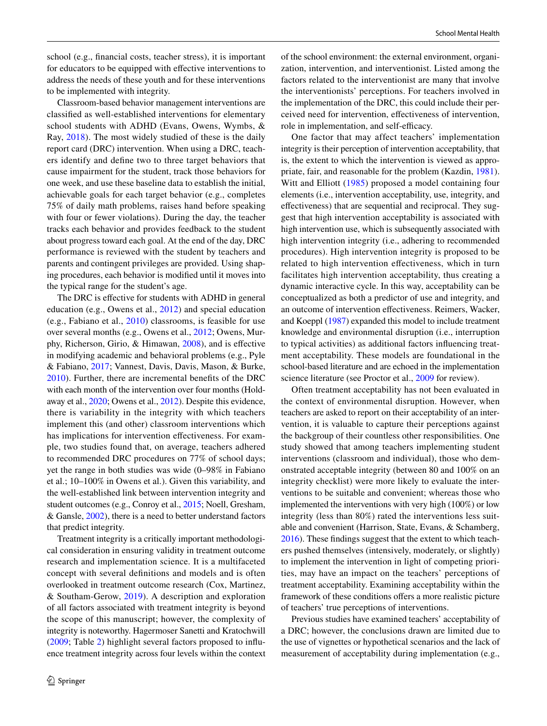school (e.g., fnancial costs, teacher stress), it is important for educators to be equipped with efective interventions to address the needs of these youth and for these interventions to be implemented with integrity.

Classroom-based behavior management interventions are classifed as well-established interventions for elementary school students with ADHD (Evans, Owens, Wymbs, & Ray, [2018\)](#page-13-5). The most widely studied of these is the daily report card (DRC) intervention. When using a DRC, teachers identify and defne two to three target behaviors that cause impairment for the student, track those behaviors for one week, and use these baseline data to establish the initial, achievable goals for each target behavior (e.g., completes 75% of daily math problems, raises hand before speaking with four or fewer violations). During the day, the teacher tracks each behavior and provides feedback to the student about progress toward each goal. At the end of the day, DRC performance is reviewed with the student by teachers and parents and contingent privileges are provided. Using shaping procedures, each behavior is modifed until it moves into the typical range for the student's age.

The DRC is effective for students with ADHD in general education (e.g., Owens et al., [2012](#page-14-5)) and special education (e.g., Fabiano et al., [2010\)](#page-13-6) classrooms, is feasible for use over several months (e.g., Owens et al., [2012;](#page-14-5) Owens, Murphy, Richerson, Girio, & Himawan, [2008\)](#page-14-6), and is efective in modifying academic and behavioral problems (e.g., Pyle & Fabiano, [2017](#page-14-7); Vannest, Davis, Davis, Mason, & Burke, [2010\)](#page-14-8). Further, there are incremental benefts of the DRC with each month of the intervention over four months (Holdaway et al., [2020;](#page-13-7) Owens et al., [2012\)](#page-14-5). Despite this evidence, there is variability in the integrity with which teachers implement this (and other) classroom interventions which has implications for intervention effectiveness. For example, two studies found that, on average, teachers adhered to recommended DRC procedures on 77% of school days; yet the range in both studies was wide (0–98% in Fabiano et al.; 10–100% in Owens et al.). Given this variability, and the well-established link between intervention integrity and student outcomes (e.g., Conroy et al., [2015](#page-13-8); Noell, Gresham, & Gansle, [2002\)](#page-14-9), there is a need to better understand factors that predict integrity.

Treatment integrity is a critically important methodological consideration in ensuring validity in treatment outcome research and implementation science. It is a multifaceted concept with several defnitions and models and is often overlooked in treatment outcome research (Cox, Martinez, & Southam-Gerow, [2019\)](#page-13-9). A description and exploration of all factors associated with treatment integrity is beyond the scope of this manuscript; however, the complexity of integrity is noteworthy. Hagermoser Sanetti and Kratochwill [\(2009;](#page-13-10) Table [2\)](#page-8-0) highlight several factors proposed to infuence treatment integrity across four levels within the context of the school environment: the external environment, organization, intervention, and interventionist. Listed among the factors related to the interventionist are many that involve the interventionists' perceptions. For teachers involved in the implementation of the DRC, this could include their perceived need for intervention, efectiveness of intervention, role in implementation, and self-efficacy.

One factor that may affect teachers' implementation integrity is their perception of intervention acceptability, that is, the extent to which the intervention is viewed as appropriate, fair, and reasonable for the problem (Kazdin, [1981](#page-14-10)). Witt and Elliott [\(1985\)](#page-14-11) proposed a model containing four elements (i.e., intervention acceptability, use, integrity, and efectiveness) that are sequential and reciprocal. They suggest that high intervention acceptability is associated with high intervention use, which is subsequently associated with high intervention integrity (i.e., adhering to recommended procedures). High intervention integrity is proposed to be related to high intervention efectiveness, which in turn facilitates high intervention acceptability, thus creating a dynamic interactive cycle. In this way, acceptability can be conceptualized as both a predictor of use and integrity, and an outcome of intervention efectiveness. Reimers, Wacker, and Koeppl [\(1987\)](#page-14-12) expanded this model to include treatment knowledge and environmental disruption (i.e., interruption to typical activities) as additional factors infuencing treatment acceptability. These models are foundational in the school-based literature and are echoed in the implementation science literature (see Proctor et al., [2009](#page-14-13) for review).

Often treatment acceptability has not been evaluated in the context of environmental disruption. However, when teachers are asked to report on their acceptability of an intervention, it is valuable to capture their perceptions against the backgroup of their countless other responsibilities. One study showed that among teachers implementing student interventions (classroom and individual), those who demonstrated acceptable integrity (between 80 and 100% on an integrity checklist) were more likely to evaluate the interventions to be suitable and convenient; whereas those who implemented the interventions with very high (100%) or low integrity (less than 80%) rated the interventions less suitable and convenient (Harrison, State, Evans, & Schamberg, [2016](#page-13-11)). These fndings suggest that the extent to which teachers pushed themselves (intensively, moderately, or slightly) to implement the intervention in light of competing priorities, may have an impact on the teachers' perceptions of treatment acceptability. Examining acceptability within the framework of these conditions offers a more realistic picture of teachers' true perceptions of interventions.

Previous studies have examined teachers' acceptability of a DRC; however, the conclusions drawn are limited due to the use of vignettes or hypothetical scenarios and the lack of measurement of acceptability during implementation (e.g.,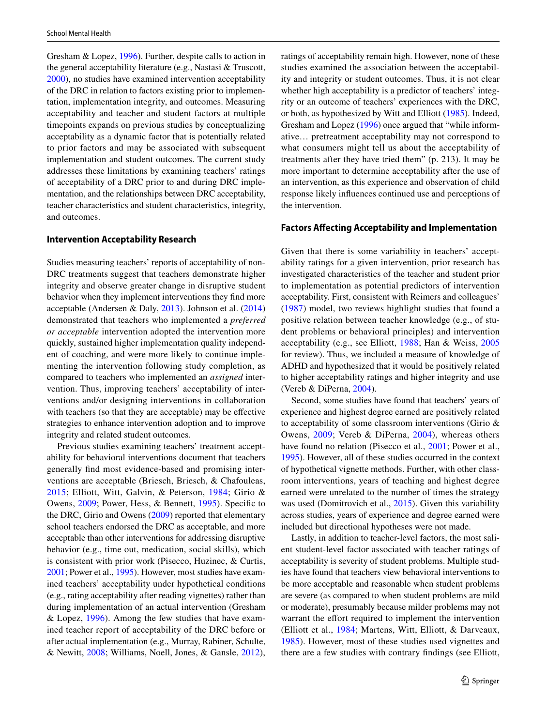Gresham & Lopez, [1996\)](#page-13-12). Further, despite calls to action in the general acceptability literature (e.g., Nastasi & Truscott, [2000](#page-14-14)), no studies have examined intervention acceptability of the DRC in relation to factors existing prior to implementation, implementation integrity, and outcomes. Measuring acceptability and teacher and student factors at multiple timepoints expands on previous studies by conceptualizing acceptability as a dynamic factor that is potentially related to prior factors and may be associated with subsequent implementation and student outcomes. The current study addresses these limitations by examining teachers' ratings of acceptability of a DRC prior to and during DRC implementation, and the relationships between DRC acceptability, teacher characteristics and student characteristics, integrity, and outcomes.

## **Intervention Acceptability Research**

Studies measuring teachers' reports of acceptability of non-DRC treatments suggest that teachers demonstrate higher integrity and observe greater change in disruptive student behavior when they implement interventions they fnd more acceptable (Andersen & Daly, [2013\)](#page-13-13). Johnson et al. ([2014\)](#page-13-14) demonstrated that teachers who implemented a *preferred or acceptable* intervention adopted the intervention more quickly, sustained higher implementation quality independent of coaching, and were more likely to continue implementing the intervention following study completion, as compared to teachers who implemented an *assigned* intervention. Thus, improving teachers' acceptability of interventions and/or designing interventions in collaboration with teachers (so that they are acceptable) may be efective strategies to enhance intervention adoption and to improve integrity and related student outcomes.

Previous studies examining teachers' treatment acceptability for behavioral interventions document that teachers generally fnd most evidence-based and promising interventions are acceptable (Briesch, Briesch, & Chafouleas, [2015](#page-13-15); Elliott, Witt, Galvin, & Peterson, [1984](#page-13-16); Girio & Owens, [2009](#page-13-17); Power, Hess, & Bennett, [1995](#page-14-15)). Specifc to the DRC, Girio and Owens ([2009\)](#page-13-17) reported that elementary school teachers endorsed the DRC as acceptable, and more acceptable than other interventions for addressing disruptive behavior (e.g., time out, medication, social skills), which is consistent with prior work (Pisecco, Huzinec, & Curtis, [2001;](#page-14-16) Power et al., [1995\)](#page-14-15). However, most studies have examined teachers' acceptability under hypothetical conditions (e.g., rating acceptability after reading vignettes) rather than during implementation of an actual intervention (Gresham & Lopez, [1996](#page-13-12)). Among the few studies that have examined teacher report of acceptability of the DRC before or after actual implementation (e.g., Murray, Rabiner, Schulte, & Newitt, [2008;](#page-14-17) Williams, Noell, Jones, & Gansle, [2012](#page-14-18)),

ratings of acceptability remain high. However, none of these studies examined the association between the acceptability and integrity or student outcomes. Thus, it is not clear whether high acceptability is a predictor of teachers' integrity or an outcome of teachers' experiences with the DRC, or both, as hypothesized by Witt and Elliott ([1985](#page-14-11)). Indeed, Gresham and Lopez ([1996\)](#page-13-12) once argued that "while informative… pretreatment acceptability may not correspond to what consumers might tell us about the acceptability of treatments after they have tried them" (p. 213). It may be more important to determine acceptability after the use of an intervention, as this experience and observation of child response likely infuences continued use and perceptions of the intervention.

## **Factors Afecting Acceptability and Implementation**

Given that there is some variability in teachers' acceptability ratings for a given intervention, prior research has investigated characteristics of the teacher and student prior to implementation as potential predictors of intervention acceptability. First, consistent with Reimers and colleagues' ([1987](#page-14-12)) model, two reviews highlight studies that found a positive relation between teacher knowledge (e.g., of student problems or behavioral principles) and intervention acceptability (e.g., see Elliott, [1988;](#page-13-18) Han & Weiss, [2005](#page-13-19) for review). Thus, we included a measure of knowledge of ADHD and hypothesized that it would be positively related to higher acceptability ratings and higher integrity and use (Vereb & DiPerna, [2004\)](#page-14-19).

Second, some studies have found that teachers' years of experience and highest degree earned are positively related to acceptability of some classroom interventions (Girio & Owens, [2009](#page-13-17); Vereb & DiPerna, [2004\)](#page-14-19), whereas others have found no relation (Pisecco et al., [2001;](#page-14-16) Power et al., [1995](#page-14-15)). However, all of these studies occurred in the context of hypothetical vignette methods. Further, with other classroom interventions, years of teaching and highest degree earned were unrelated to the number of times the strategy was used (Domitrovich et al., [2015\)](#page-13-20). Given this variability across studies, years of experience and degree earned were included but directional hypotheses were not made.

Lastly, in addition to teacher-level factors, the most salient student-level factor associated with teacher ratings of acceptability is severity of student problems. Multiple studies have found that teachers view behavioral interventions to be more acceptable and reasonable when student problems are severe (as compared to when student problems are mild or moderate), presumably because milder problems may not warrant the effort required to implement the intervention (Elliott et al., [1984;](#page-13-16) Martens, Witt, Elliott, & Darveaux, [1985\)](#page-14-20). However, most of these studies used vignettes and there are a few studies with contrary fndings (see Elliott,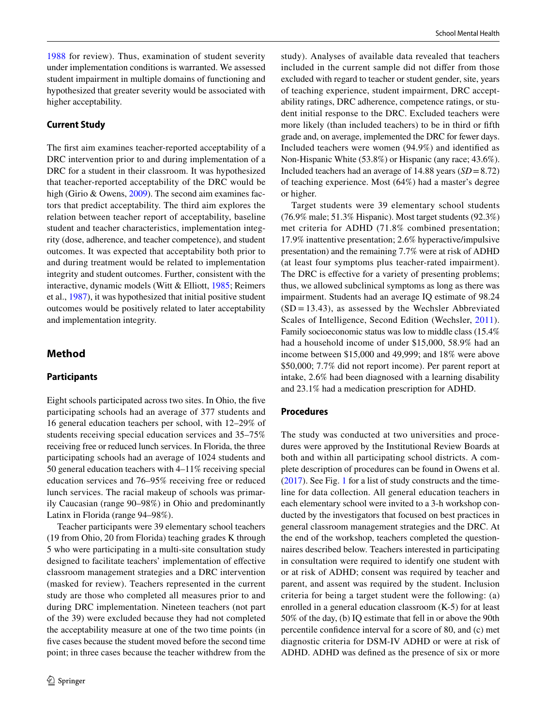[1988](#page-13-18) for review). Thus, examination of student severity under implementation conditions is warranted. We assessed student impairment in multiple domains of functioning and hypothesized that greater severity would be associated with higher acceptability.

## **Current Study**

The frst aim examines teacher-reported acceptability of a DRC intervention prior to and during implementation of a DRC for a student in their classroom. It was hypothesized that teacher-reported acceptability of the DRC would be high (Girio & Owens, [2009\)](#page-13-17). The second aim examines factors that predict acceptability. The third aim explores the relation between teacher report of acceptability, baseline student and teacher characteristics, implementation integrity (dose, adherence, and teacher competence), and student outcomes. It was expected that acceptability both prior to and during treatment would be related to implementation integrity and student outcomes. Further, consistent with the interactive, dynamic models (Witt & Elliott, [1985;](#page-14-11) Reimers et al., [1987\)](#page-14-12), it was hypothesized that initial positive student outcomes would be positively related to later acceptability and implementation integrity.

# **Method**

#### **Participants**

Eight schools participated across two sites. In Ohio, the fve participating schools had an average of 377 students and 16 general education teachers per school, with 12–29% of students receiving special education services and 35–75% receiving free or reduced lunch services. In Florida, the three participating schools had an average of 1024 students and 50 general education teachers with 4–11% receiving special education services and 76–95% receiving free or reduced lunch services. The racial makeup of schools was primarily Caucasian (range 90–98%) in Ohio and predominantly Latinx in Florida (range 94–98%).

Teacher participants were 39 elementary school teachers (19 from Ohio, 20 from Florida) teaching grades K through 5 who were participating in a multi-site consultation study designed to facilitate teachers' implementation of efective classroom management strategies and a DRC intervention (masked for review). Teachers represented in the current study are those who completed all measures prior to and during DRC implementation. Nineteen teachers (not part of the 39) were excluded because they had not completed the acceptability measure at one of the two time points (in fve cases because the student moved before the second time point; in three cases because the teacher withdrew from the study). Analyses of available data revealed that teachers included in the current sample did not difer from those excluded with regard to teacher or student gender, site, years of teaching experience, student impairment, DRC acceptability ratings, DRC adherence, competence ratings, or student initial response to the DRC. Excluded teachers were more likely (than included teachers) to be in third or ffth grade and, on average, implemented the DRC for fewer days. Included teachers were women (94.9%) and identifed as Non-Hispanic White (53.8%) or Hispanic (any race; 43.6%). Included teachers had an average of 14.88 years (*SD*=8.72) of teaching experience. Most (64%) had a master's degree or higher.

Target students were 39 elementary school students (76.9% male; 51.3% Hispanic). Most target students (92.3%) met criteria for ADHD (71.8% combined presentation; 17.9% inattentive presentation; 2.6% hyperactive/impulsive presentation) and the remaining 7.7% were at risk of ADHD (at least four symptoms plus teacher-rated impairment). The DRC is effective for a variety of presenting problems; thus, we allowed subclinical symptoms as long as there was impairment. Students had an average IQ estimate of 98.24  $(SD = 13.43)$ , as assessed by the Wechsler Abbreviated Scales of Intelligence, Second Edition (Wechsler, [2011](#page-14-21)). Family socioeconomic status was low to middle class (15.4% had a household income of under \$15,000, 58.9% had an income between \$15,000 and 49,999; and 18% were above \$50,000; 7.7% did not report income). Per parent report at intake, 2.6% had been diagnosed with a learning disability and 23.1% had a medication prescription for ADHD.

# **Procedures**

The study was conducted at two universities and procedures were approved by the Institutional Review Boards at both and within all participating school districts. A complete description of procedures can be found in Owens et al. [\(2017](#page-14-22)). See Fig. [1](#page-4-0) for a list of study constructs and the timeline for data collection. All general education teachers in each elementary school were invited to a 3-h workshop conducted by the investigators that focused on best practices in general classroom management strategies and the DRC. At the end of the workshop, teachers completed the questionnaires described below. Teachers interested in participating in consultation were required to identify one student with or at risk of ADHD; consent was required by teacher and parent, and assent was required by the student. Inclusion criteria for being a target student were the following: (a) enrolled in a general education classroom (K-5) for at least 50% of the day, (b) IQ estimate that fell in or above the 90th percentile confdence interval for a score of 80, and (c) met diagnostic criteria for DSM-IV ADHD or were at risk of ADHD. ADHD was defned as the presence of six or more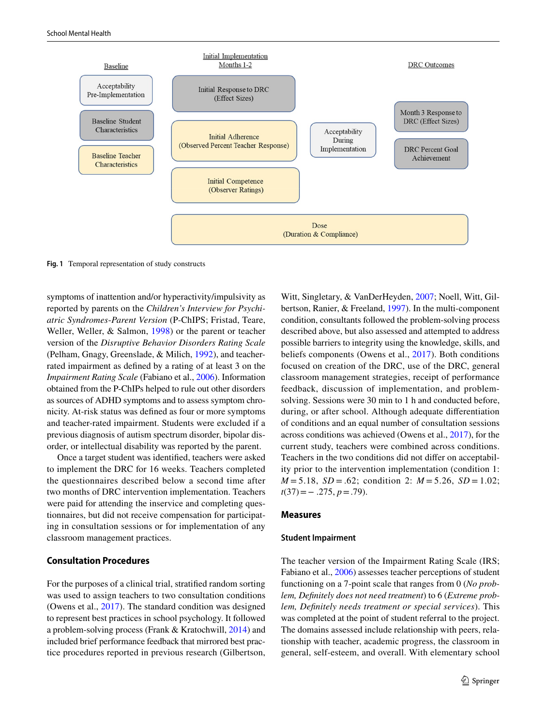

<span id="page-4-0"></span>**Fig. 1** Temporal representation of study constructs

symptoms of inattention and/or hyperactivity/impulsivity as reported by parents on the *Children's Interview for Psychiatric Syndromes*-*Parent Version* (P-ChIPS; Fristad, Teare, Weller, Weller, & Salmon, [1998](#page-13-21)) or the parent or teacher version of the *Disruptive Behavior Disorders Rating Scale* (Pelham, Gnagy, Greenslade, & Milich, [1992](#page-14-23)), and teacherrated impairment as defned by a rating of at least 3 on the *Impairment Rating Scale* (Fabiano et al., [2006\)](#page-13-22). Information obtained from the P-ChIPs helped to rule out other disorders as sources of ADHD symptoms and to assess symptom chronicity. At-risk status was defned as four or more symptoms and teacher-rated impairment. Students were excluded if a previous diagnosis of autism spectrum disorder, bipolar disorder, or intellectual disability was reported by the parent.

Once a target student was identifed, teachers were asked to implement the DRC for 16 weeks. Teachers completed the questionnaires described below a second time after two months of DRC intervention implementation. Teachers were paid for attending the inservice and completing questionnaires, but did not receive compensation for participating in consultation sessions or for implementation of any classroom management practices.

## **Consultation Procedures**

For the purposes of a clinical trial, stratifed random sorting was used to assign teachers to two consultation conditions (Owens et al., [2017](#page-14-22)). The standard condition was designed to represent best practices in school psychology. It followed a problem-solving process (Frank & Kratochwill, [2014](#page-13-23)) and included brief performance feedback that mirrored best practice procedures reported in previous research (Gilbertson,

Witt, Singletary, & VanDerHeyden, [2007;](#page-13-24) Noell, Witt, Gilbertson, Ranier, & Freeland, [1997\)](#page-14-24). In the multi-component condition, consultants followed the problem-solving process described above, but also assessed and attempted to address possible barriers to integrity using the knowledge, skills, and beliefs components (Owens et al., [2017\)](#page-14-22). Both conditions focused on creation of the DRC, use of the DRC, general classroom management strategies, receipt of performance feedback, discussion of implementation, and problemsolving. Sessions were 30 min to 1 h and conducted before, during, or after school. Although adequate diferentiation of conditions and an equal number of consultation sessions across conditions was achieved (Owens et al., [2017\)](#page-14-22), for the current study, teachers were combined across conditions. Teachers in the two conditions did not difer on acceptability prior to the intervention implementation (condition 1:  $M = 5.18$ ,  $SD = .62$ ; condition 2:  $M = 5.26$ ,  $SD = 1.02$ ; *t*(37)=− .275, *p*=.79).

#### **Measures**

#### **Student Impairment**

The teacher version of the Impairment Rating Scale (IRS; Fabiano et al., [2006\)](#page-13-22) assesses teacher perceptions of student functioning on a 7-point scale that ranges from 0 (*No problem, Defnitely does not need treatment*) to 6 (*Extreme problem, Defnitely needs treatment or special services*). This was completed at the point of student referral to the project. The domains assessed include relationship with peers, relationship with teacher, academic progress, the classroom in general, self-esteem, and overall. With elementary school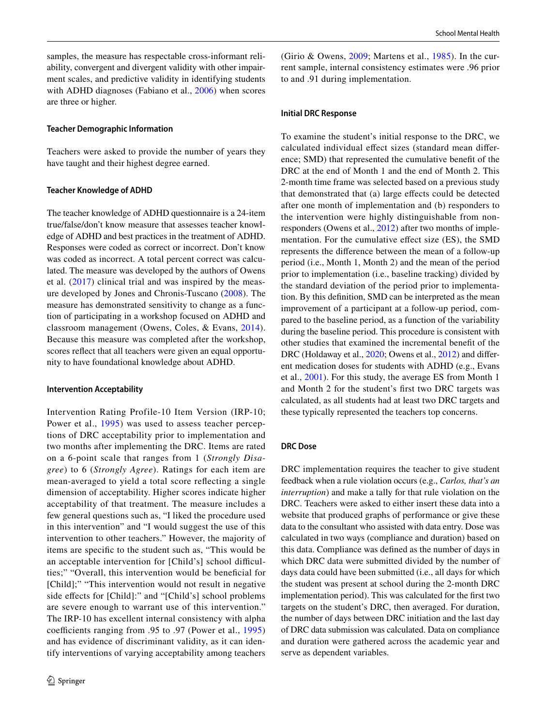samples, the measure has respectable cross-informant reliability, convergent and divergent validity with other impairment scales, and predictive validity in identifying students with ADHD diagnoses (Fabiano et al., [2006\)](#page-13-22) when scores are three or higher.

#### **Teacher Demographic Information**

Teachers were asked to provide the number of years they have taught and their highest degree earned.

#### **Teacher Knowledge of ADHD**

The teacher knowledge of ADHD questionnaire is a 24-item true/false/don't know measure that assesses teacher knowledge of ADHD and best practices in the treatment of ADHD. Responses were coded as correct or incorrect. Don't know was coded as incorrect. A total percent correct was calculated. The measure was developed by the authors of Owens et al. ([2017\)](#page-14-22) clinical trial and was inspired by the measure developed by Jones and Chronis-Tuscano ([2008](#page-14-25)). The measure has demonstrated sensitivity to change as a function of participating in a workshop focused on ADHD and classroom management (Owens, Coles, & Evans, [2014](#page-14-26)). Because this measure was completed after the workshop, scores refect that all teachers were given an equal opportunity to have foundational knowledge about ADHD.

#### **Intervention Acceptability**

Intervention Rating Profile-10 Item Version (IRP-10; Power et al., [1995\)](#page-14-15) was used to assess teacher perceptions of DRC acceptability prior to implementation and two months after implementing the DRC. Items are rated on a 6-point scale that ranges from 1 (*Strongly Disagree*) to 6 (*Strongly Agree*). Ratings for each item are mean-averaged to yield a total score refecting a single dimension of acceptability. Higher scores indicate higher acceptability of that treatment. The measure includes a few general questions such as, "I liked the procedure used in this intervention" and "I would suggest the use of this intervention to other teachers." However, the majority of items are specifc to the student such as, "This would be an acceptable intervention for [Child's] school difficulties;" "Overall, this intervention would be benefcial for [Child];" "This intervention would not result in negative side efects for [Child]:" and "[Child's] school problems are severe enough to warrant use of this intervention." The IRP-10 has excellent internal consistency with alpha coefficients ranging from .95 to .97 (Power et al.,  $1995$ ) and has evidence of discriminant validity, as it can identify interventions of varying acceptability among teachers (Girio & Owens, [2009;](#page-13-17) Martens et al., [1985](#page-14-20)). In the current sample, internal consistency estimates were .96 prior to and .91 during implementation.

#### **Initial DRC Response**

To examine the student's initial response to the DRC, we calculated individual effect sizes (standard mean difference; SMD) that represented the cumulative beneft of the DRC at the end of Month 1 and the end of Month 2. This 2-month time frame was selected based on a previous study that demonstrated that (a) large efects could be detected after one month of implementation and (b) responders to the intervention were highly distinguishable from nonresponders (Owens et al., [2012\)](#page-14-5) after two months of implementation. For the cumulative efect size (ES), the SMD represents the diference between the mean of a follow-up period (i.e., Month 1, Month 2) and the mean of the period prior to implementation (i.e., baseline tracking) divided by the standard deviation of the period prior to implementation. By this defnition, SMD can be interpreted as the mean improvement of a participant at a follow-up period, compared to the baseline period, as a function of the variability during the baseline period. This procedure is consistent with other studies that examined the incremental beneft of the DRC (Holdaway et al., [2020](#page-13-7); Owens et al., [2012](#page-14-5)) and different medication doses for students with ADHD (e.g., Evans et al., [2001](#page-13-25)). For this study, the average ES from Month 1 and Month 2 for the student's frst two DRC targets was calculated, as all students had at least two DRC targets and these typically represented the teachers top concerns.

#### **DRC Dose**

DRC implementation requires the teacher to give student feedback when a rule violation occurs (e.g., *Carlos, that's an interruption*) and make a tally for that rule violation on the DRC. Teachers were asked to either insert these data into a website that produced graphs of performance or give these data to the consultant who assisted with data entry. Dose was calculated in two ways (compliance and duration) based on this data. Compliance was defned as the number of days in which DRC data were submitted divided by the number of days data could have been submitted (i.e., all days for which the student was present at school during the 2-month DRC implementation period). This was calculated for the frst two targets on the student's DRC, then averaged. For duration, the number of days between DRC initiation and the last day of DRC data submission was calculated. Data on compliance and duration were gathered across the academic year and serve as dependent variables.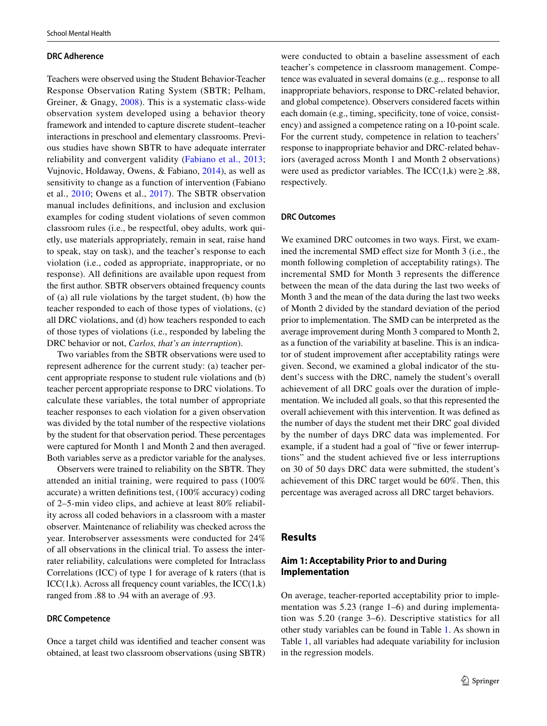## **DRC Adherence**

Teachers were observed using the Student Behavior-Teacher Response Observation Rating System (SBTR; Pelham, Greiner, & Gnagy, [2008\)](#page-14-27). This is a systematic class-wide observation system developed using a behavior theory framework and intended to capture discrete student–teacher interactions in preschool and elementary classrooms. Previous studies have shown SBTR to have adequate interrater reliability and convergent validity ([Fabiano et al., 2013](#page-13-1); Vujnovic, Holdaway, Owens, & Fabiano, [2014\)](#page-14-28), as well as sensitivity to change as a function of intervention (Fabiano et al., [2010](#page-13-6); Owens et al., [2017](#page-14-22)). The SBTR observation manual includes defnitions, and inclusion and exclusion examples for coding student violations of seven common classroom rules (i.e., be respectful, obey adults, work quietly, use materials appropriately, remain in seat, raise hand to speak, stay on task), and the teacher's response to each violation (i.e., coded as appropriate, inappropriate, or no response). All defnitions are available upon request from the frst author. SBTR observers obtained frequency counts of (a) all rule violations by the target student, (b) how the teacher responded to each of those types of violations, (c) all DRC violations, and (d) how teachers responded to each of those types of violations (i.e., responded by labeling the DRC behavior or not, *Carlos, that's an interruption*).

Two variables from the SBTR observations were used to represent adherence for the current study: (a) teacher percent appropriate response to student rule violations and (b) teacher percent appropriate response to DRC violations. To calculate these variables, the total number of appropriate teacher responses to each violation for a given observation was divided by the total number of the respective violations by the student for that observation period. These percentages were captured for Month 1 and Month 2 and then averaged. Both variables serve as a predictor variable for the analyses.

Observers were trained to reliability on the SBTR. They attended an initial training, were required to pass (100% accurate) a written defnitions test, (100% accuracy) coding of 2–5-min video clips, and achieve at least 80% reliability across all coded behaviors in a classroom with a master observer. Maintenance of reliability was checked across the year. Interobserver assessments were conducted for 24% of all observations in the clinical trial. To assess the interrater reliability, calculations were completed for Intraclass Correlations (ICC) of type 1 for average of k raters (that is  $\text{ICC}(1,\mathbf{k})$ . Across all frequency count variables, the  $\text{ICC}(1,\mathbf{k})$ ranged from .88 to .94 with an average of .93.

#### **DRC Competence**

Once a target child was identifed and teacher consent was obtained, at least two classroom observations (using SBTR)

were conducted to obtain a baseline assessment of each teacher's competence in classroom management. Competence was evaluated in several domains (e.g.,. response to all inappropriate behaviors, response to DRC-related behavior, and global competence). Observers considered facets within each domain (e.g., timing, specificity, tone of voice, consistency) and assigned a competence rating on a 10-point scale. For the current study, competence in relation to teachers' response to inappropriate behavior and DRC-related behaviors (averaged across Month 1 and Month 2 observations) were used as predictor variables. The ICC(1,k) were  $\geq$  .88, respectively.

#### **DRC Outcomes**

We examined DRC outcomes in two ways. First, we examined the incremental SMD effect size for Month 3 (i.e., the month following completion of acceptability ratings). The incremental SMD for Month 3 represents the diference between the mean of the data during the last two weeks of Month 3 and the mean of the data during the last two weeks of Month 2 divided by the standard deviation of the period prior to implementation. The SMD can be interpreted as the average improvement during Month 3 compared to Month 2, as a function of the variability at baseline. This is an indicator of student improvement after acceptability ratings were given. Second, we examined a global indicator of the student's success with the DRC, namely the student's overall achievement of all DRC goals over the duration of implementation. We included all goals, so that this represented the overall achievement with this intervention. It was defned as the number of days the student met their DRC goal divided by the number of days DRC data was implemented. For example, if a student had a goal of "five or fewer interruptions" and the student achieved fve or less interruptions on 30 of 50 days DRC data were submitted, the student's achievement of this DRC target would be 60%. Then, this percentage was averaged across all DRC target behaviors.

## **Results**

# **Aim 1: Acceptability Prior to and During Implementation**

On average, teacher-reported acceptability prior to implementation was 5.23 (range 1–6) and during implementation was 5.20 (range 3–6). Descriptive statistics for all other study variables can be found in Table [1.](#page-7-0) As shown in Table [1](#page-7-0), all variables had adequate variability for inclusion in the regression models.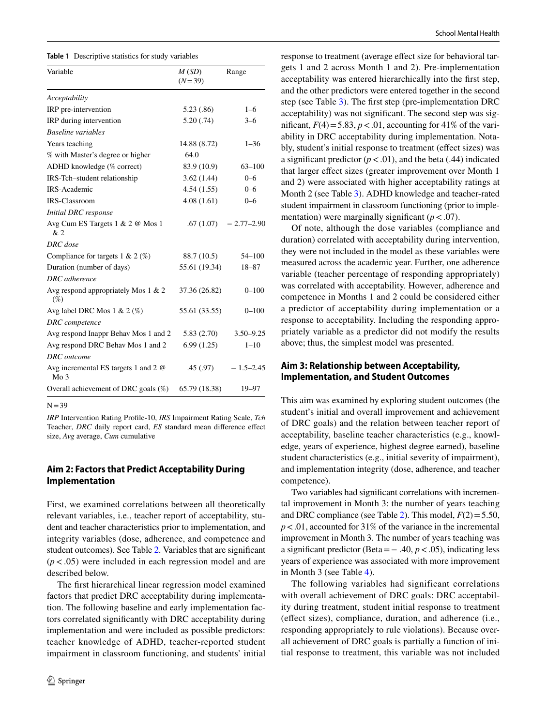<span id="page-7-0"></span>

| Variable                                                       | M(SD)<br>$(N=39)$ | Range         |
|----------------------------------------------------------------|-------------------|---------------|
| Acceptability                                                  |                   |               |
| IRP pre-intervention                                           | 5.23(0.86)        | $1 - 6$       |
| IRP during intervention                                        | 5.20(.74)         | $3 - 6$       |
| <b>Baseline</b> variables                                      |                   |               |
| Years teaching                                                 | 14.88 (8.72)      | $1 - 36$      |
| % with Master's degree or higher                               | 64.0              |               |
| ADHD knowledge (% correct)                                     | 83.9 (10.9)       | $63 - 100$    |
| IRS-Tch-student relationship                                   | 3.62(1.44)        | $0 - 6$       |
| <b>IRS-Academic</b>                                            | 4.54(1.55)        | $0 - 6$       |
| <b>IRS-Classroom</b>                                           | 4.08(1.61)        | $0 - 6$       |
| <b>Initial DRC</b> response                                    |                   |               |
| Avg Cum ES Targets 1 & 2 @ Mos 1<br>&2                         | .67(1.07)         | $-2.77-2.90$  |
| DRC dose                                                       |                   |               |
| Compliance for targets $1 < 2 \text{ } (\%)$                   | 88.7 (10.5)       | $54 - 100$    |
| Duration (number of days)                                      | 55.61 (19.34)     | 18-87         |
| DRC adherence                                                  |                   |               |
| Avg respond appropriately Mos $1 \& 2$<br>(% )                 | 37.36 (26.82)     | $0 - 100$     |
| Avg label DRC Mos $1 \& 2 (\%)$                                | 55.61 (33.55)     | $0 - 100$     |
| DRC competence                                                 |                   |               |
| Avg respond Inappr Behav Mos 1 and 2                           | 5.83(2.70)        | $3.50 - 9.25$ |
| Avg respond DRC Behav Mos 1 and 2                              | 6.99(1.25)        | $1 - 10$      |
| <b>DRC</b> outcome                                             |                   |               |
| Avg incremental ES targets 1 and 2 $\omega$<br>Mo <sub>3</sub> | .45(.97)          | $-1.5 - 2.45$ |
| Overall achievement of DRC goals $(\%)$                        | 65.79 (18.38)     | 19-97         |

 $N=39$ 

*IRP* Intervention Rating Profle-10, *IRS* Impairment Rating Scale, *Tch* Teacher, *DRC* daily report card, *ES* standard mean diference efect size, *Avg* average, *Cum* cumulative

# **Aim 2: Factors that Predict Acceptability During Implementation**

First, we examined correlations between all theoretically relevant variables, i.e., teacher report of acceptability, student and teacher characteristics prior to implementation, and integrity variables (dose, adherence, and competence and student outcomes). See Table [2.](#page-8-0) Variables that are signifcant  $(p < .05)$  were included in each regression model and are described below.

The frst hierarchical linear regression model examined factors that predict DRC acceptability during implementation. The following baseline and early implementation factors correlated signifcantly with DRC acceptability during implementation and were included as possible predictors: teacher knowledge of ADHD, teacher-reported student impairment in classroom functioning, and students' initial response to treatment (average efect size for behavioral targets 1 and 2 across Month 1 and 2). Pre-implementation acceptability was entered hierarchically into the frst step, and the other predictors were entered together in the second step (see Table [3](#page-10-0)). The frst step (pre-implementation DRC acceptability) was not signifcant. The second step was significant,  $F(4) = 5.83$ ,  $p < .01$ , accounting for 41% of the variability in DRC acceptability during implementation. Notably, student's initial response to treatment (effect sizes) was a significant predictor  $(p < .01)$ , and the beta (.44) indicated that larger efect sizes (greater improvement over Month 1 and 2) were associated with higher acceptability ratings at Month 2 (see Table [3\)](#page-10-0). ADHD knowledge and teacher-rated student impairment in classroom functioning (prior to implementation) were marginally significant  $(p < .07)$ .

Of note, although the dose variables (compliance and duration) correlated with acceptability during intervention, they were not included in the model as these variables were measured across the academic year. Further, one adherence variable (teacher percentage of responding appropriately) was correlated with acceptability. However, adherence and competence in Months 1 and 2 could be considered either a predictor of acceptability during implementation or a response to acceptability. Including the responding appropriately variable as a predictor did not modify the results above; thus, the simplest model was presented.

# **Aim 3: Relationship between Acceptability, Implementation, and Student Outcomes**

This aim was examined by exploring student outcomes (the student's initial and overall improvement and achievement of DRC goals) and the relation between teacher report of acceptability, baseline teacher characteristics (e.g., knowledge, years of experience, highest degree earned), baseline student characteristics (e.g., initial severity of impairment), and implementation integrity (dose, adherence, and teacher competence).

Two variables had signifcant correlations with incremental improvement in Month 3: the number of years teaching and DRC compliance (see Table [2](#page-8-0)). This model,  $F(2) = 5.50$ , *p*<.01, accounted for 31% of the variance in the incremental improvement in Month 3. The number of years teaching was a signifcant predictor (Beta=− .40, *p*<.05), indicating less years of experience was associated with more improvement in Month 3 (see Table [4](#page-10-1)).

The following variables had significant correlations with overall achievement of DRC goals: DRC acceptability during treatment, student initial response to treatment (efect sizes), compliance, duration, and adherence (i.e., responding appropriately to rule violations). Because overall achievement of DRC goals is partially a function of initial response to treatment, this variable was not included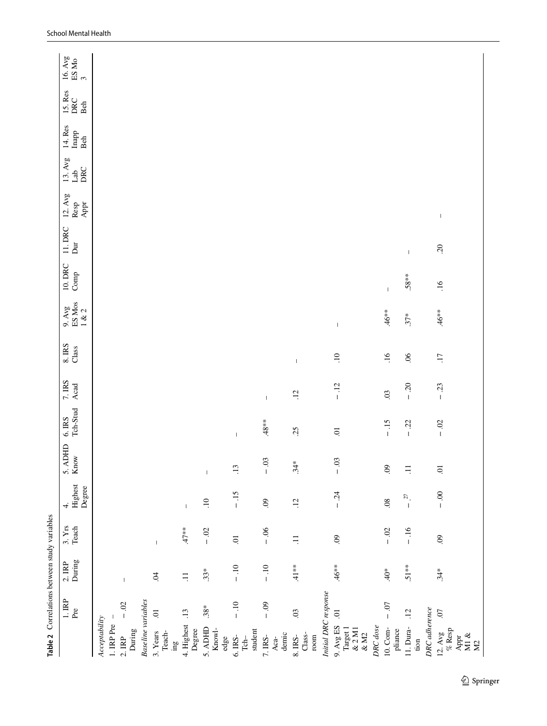<span id="page-8-0"></span>

| 15. Res<br>DRC<br>Beh<br>14. Res<br>Inapp<br>Beh<br>$13.$ Avg<br>DRC<br>Lab<br>$12.$ Avg<br>Appr<br>Resp<br>$\,$ $\,$<br>11. DRC<br>$\overline{\mathrm{D}}$<br>20<br>$\mathsf I$<br>10. DRC<br>$\operatorname{Comp}$<br>$.58**$<br>16<br>$\overline{\phantom{a}}$<br>ES Mos<br>$9.$ Avg<br>1 & 2<br>$46**$<br>$.46**$<br>$37*$<br>$\mathsf I$<br>$8.$ IRS<br>Class<br>.16<br>06<br>$\overline{17}$<br>$\overline{10}$<br>$\overline{\phantom{a}}$<br>$7.$ IRS<br>$-20$<br>Acad<br>$-12$<br>$-23$<br>$\ddot{\mathrm{c}}$<br>$\overline{12}$<br>$\mathsf I$<br>Tch-Stud<br>$6.$ IRS<br>$.48***$<br>$-15$<br>$-02$<br>$-22$<br>25<br>$\Xi$<br>$\mathsf I$<br>5. ADHD<br>Know<br>$-0.3$<br>$-0.3$<br>$.34*$<br>$\odot$<br>$\overline{.13}$<br>$\Xi$<br>$\Xi$<br>$\mathsf I$<br>Highest<br>Degree<br>$-15$<br>$-0.00$<br>24<br>$\widetilde{\omega}$ .<br>$\overline{10}$<br>$\odot$<br>$\overline{12}$<br>$\overline{0}$<br>4.<br>$\mathsf I$<br>$\mathbf I$<br>$\mathsf I$<br>3. <b>Yrs</b><br>Teach<br>$47**$<br>$-0.06$<br>$-0.02$<br>$-0$ .<br>$-16$<br>$\mathcal{S}$<br>$\mathcal{S}$<br>$\Xi$<br>$\Xi$<br>$\mathsf I$<br>During<br>2.IRP<br>$-10$<br>$-10$<br>$41*$<br>$46**$<br>$51**$<br>$40*$<br>$34*$<br>$33*$<br>$\ddot{q}$<br>$\Xi$<br>$\mathsf I$<br>Initial DRC response<br>$1.$ $\mathbb{RP}$<br><b>Baseline</b> variables<br>$-0.02$<br>$-10$<br>$-0.07$<br>$-0.9$<br>$.38*$<br>Pre<br>DRC adherence<br>.12<br>$\overline{0}$<br>.13<br>03<br>$\ddot{o}$<br>$\overline{0}$<br>Acceptability<br>1. IRP Pre<br>4. Highest<br>9. Avg ES<br>DRC dose<br>11. Dura-<br>Target 1<br>5. ADHD<br>$10. \text{Com-}$<br>$\&$ 2 M1<br>Knowl-<br>$\%$ Resp<br>Degree<br>student<br>pliance<br>During<br>3. Years<br>Teach-<br>12. Avg<br>$\&$ M2<br>demic<br>Class-<br>M1 $\&$<br>$8.$ IRS-<br>$7.$ IRS-<br>$_{\rm room}$<br>Appr<br>$2.$ $\rm IRP$<br>6. IRS-<br>edge<br>$Tch-$<br>Aca-<br>tion<br>M <sup>2</sup><br>$\mathbf{g}$ ur | Table 2 Correlations between study variables |  |  |  |  |  |  |  |                                            |
|-------------------------------------------------------------------------------------------------------------------------------------------------------------------------------------------------------------------------------------------------------------------------------------------------------------------------------------------------------------------------------------------------------------------------------------------------------------------------------------------------------------------------------------------------------------------------------------------------------------------------------------------------------------------------------------------------------------------------------------------------------------------------------------------------------------------------------------------------------------------------------------------------------------------------------------------------------------------------------------------------------------------------------------------------------------------------------------------------------------------------------------------------------------------------------------------------------------------------------------------------------------------------------------------------------------------------------------------------------------------------------------------------------------------------------------------------------------------------------------------------------------------------------------------------------------------------------------------------------------------------------------------------------------------------------------------------------------------------------------------------------------------------------------------------------------------------------------------------------------------------------------------------------------------------------------|----------------------------------------------|--|--|--|--|--|--|--|--------------------------------------------|
|                                                                                                                                                                                                                                                                                                                                                                                                                                                                                                                                                                                                                                                                                                                                                                                                                                                                                                                                                                                                                                                                                                                                                                                                                                                                                                                                                                                                                                                                                                                                                                                                                                                                                                                                                                                                                                                                                                                                     |                                              |  |  |  |  |  |  |  | 16. Avg<br>$\frac{\text{ES} \text{Mo}}{3}$ |
|                                                                                                                                                                                                                                                                                                                                                                                                                                                                                                                                                                                                                                                                                                                                                                                                                                                                                                                                                                                                                                                                                                                                                                                                                                                                                                                                                                                                                                                                                                                                                                                                                                                                                                                                                                                                                                                                                                                                     |                                              |  |  |  |  |  |  |  |                                            |
|                                                                                                                                                                                                                                                                                                                                                                                                                                                                                                                                                                                                                                                                                                                                                                                                                                                                                                                                                                                                                                                                                                                                                                                                                                                                                                                                                                                                                                                                                                                                                                                                                                                                                                                                                                                                                                                                                                                                     |                                              |  |  |  |  |  |  |  |                                            |
|                                                                                                                                                                                                                                                                                                                                                                                                                                                                                                                                                                                                                                                                                                                                                                                                                                                                                                                                                                                                                                                                                                                                                                                                                                                                                                                                                                                                                                                                                                                                                                                                                                                                                                                                                                                                                                                                                                                                     |                                              |  |  |  |  |  |  |  |                                            |
|                                                                                                                                                                                                                                                                                                                                                                                                                                                                                                                                                                                                                                                                                                                                                                                                                                                                                                                                                                                                                                                                                                                                                                                                                                                                                                                                                                                                                                                                                                                                                                                                                                                                                                                                                                                                                                                                                                                                     |                                              |  |  |  |  |  |  |  |                                            |
|                                                                                                                                                                                                                                                                                                                                                                                                                                                                                                                                                                                                                                                                                                                                                                                                                                                                                                                                                                                                                                                                                                                                                                                                                                                                                                                                                                                                                                                                                                                                                                                                                                                                                                                                                                                                                                                                                                                                     |                                              |  |  |  |  |  |  |  |                                            |
|                                                                                                                                                                                                                                                                                                                                                                                                                                                                                                                                                                                                                                                                                                                                                                                                                                                                                                                                                                                                                                                                                                                                                                                                                                                                                                                                                                                                                                                                                                                                                                                                                                                                                                                                                                                                                                                                                                                                     |                                              |  |  |  |  |  |  |  |                                            |
|                                                                                                                                                                                                                                                                                                                                                                                                                                                                                                                                                                                                                                                                                                                                                                                                                                                                                                                                                                                                                                                                                                                                                                                                                                                                                                                                                                                                                                                                                                                                                                                                                                                                                                                                                                                                                                                                                                                                     |                                              |  |  |  |  |  |  |  |                                            |
|                                                                                                                                                                                                                                                                                                                                                                                                                                                                                                                                                                                                                                                                                                                                                                                                                                                                                                                                                                                                                                                                                                                                                                                                                                                                                                                                                                                                                                                                                                                                                                                                                                                                                                                                                                                                                                                                                                                                     |                                              |  |  |  |  |  |  |  |                                            |
|                                                                                                                                                                                                                                                                                                                                                                                                                                                                                                                                                                                                                                                                                                                                                                                                                                                                                                                                                                                                                                                                                                                                                                                                                                                                                                                                                                                                                                                                                                                                                                                                                                                                                                                                                                                                                                                                                                                                     |                                              |  |  |  |  |  |  |  |                                            |
|                                                                                                                                                                                                                                                                                                                                                                                                                                                                                                                                                                                                                                                                                                                                                                                                                                                                                                                                                                                                                                                                                                                                                                                                                                                                                                                                                                                                                                                                                                                                                                                                                                                                                                                                                                                                                                                                                                                                     |                                              |  |  |  |  |  |  |  |                                            |
|                                                                                                                                                                                                                                                                                                                                                                                                                                                                                                                                                                                                                                                                                                                                                                                                                                                                                                                                                                                                                                                                                                                                                                                                                                                                                                                                                                                                                                                                                                                                                                                                                                                                                                                                                                                                                                                                                                                                     |                                              |  |  |  |  |  |  |  |                                            |
|                                                                                                                                                                                                                                                                                                                                                                                                                                                                                                                                                                                                                                                                                                                                                                                                                                                                                                                                                                                                                                                                                                                                                                                                                                                                                                                                                                                                                                                                                                                                                                                                                                                                                                                                                                                                                                                                                                                                     |                                              |  |  |  |  |  |  |  |                                            |
|                                                                                                                                                                                                                                                                                                                                                                                                                                                                                                                                                                                                                                                                                                                                                                                                                                                                                                                                                                                                                                                                                                                                                                                                                                                                                                                                                                                                                                                                                                                                                                                                                                                                                                                                                                                                                                                                                                                                     |                                              |  |  |  |  |  |  |  |                                            |
|                                                                                                                                                                                                                                                                                                                                                                                                                                                                                                                                                                                                                                                                                                                                                                                                                                                                                                                                                                                                                                                                                                                                                                                                                                                                                                                                                                                                                                                                                                                                                                                                                                                                                                                                                                                                                                                                                                                                     |                                              |  |  |  |  |  |  |  |                                            |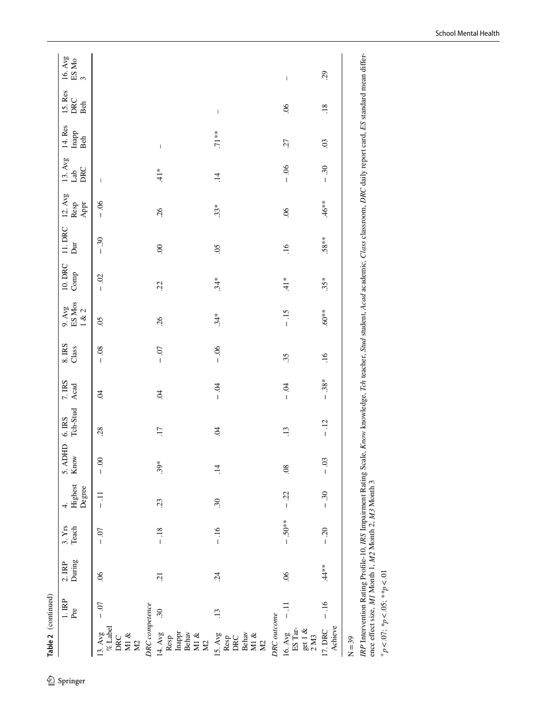|                                                              | $1.$ $\mathbb{RP}$<br>Pre | $2. IRP$<br>During | 3. Yrs<br>Teach | Highest<br>Degree<br>4. | 5. ADHD<br>Know | Tch-Stud<br>$6.$ IRS | 7. IRS<br>Acad | $8.$ IRS<br>Class | 9. Avg<br>ES Mos<br>1 & 2 | 10. DRC<br>$\operatorname{Comp}$ | 11. DRC<br>$\overline{\mathsf{D}}$ | $12.$ Avg<br>Resp<br>Appr | 13. Avg<br>DRC<br>Lab    | 14. Res<br>Inapp<br>Beh                                                                                                                                                                                                                                                                                                                                                          | 15. Res<br>DRC<br>Beh                 | $\begin{array}{c} 16.\mathrm{\,Avg}\\ \mathrm{ES}\ \mathrm{Mo}\\ 3 \end{array}$ |
|--------------------------------------------------------------|---------------------------|--------------------|-----------------|-------------------------|-----------------|----------------------|----------------|-------------------|---------------------------|----------------------------------|------------------------------------|---------------------------|--------------------------|----------------------------------------------------------------------------------------------------------------------------------------------------------------------------------------------------------------------------------------------------------------------------------------------------------------------------------------------------------------------------------|---------------------------------------|---------------------------------------------------------------------------------|
| $\%$ Label<br>13. $Avg$<br>Ml $\&$<br>DRC<br><b>N2</b>       | $-0.07$                   | 06                 | $-0.7$          | $\frac{1}{1}$           | $-0.00$         | 28                   | S.             | $-0.8$            | 05                        | $-0.02$                          | $-0.30$                            | $-0.06$                   | $\overline{\phantom{a}}$ |                                                                                                                                                                                                                                                                                                                                                                                  |                                       |                                                                                 |
| <b>DRC</b> competence                                        |                           |                    |                 |                         |                 |                      |                |                   |                           |                                  |                                    |                           |                          |                                                                                                                                                                                                                                                                                                                                                                                  |                                       |                                                                                 |
| Inappr<br>Behav<br>14. Avg<br>M1 $\&$<br>Resp<br>$\Sigma$    | $\overline{30}$           | $\overline{c}$     | $-18$           | 23                      | $.39*$          | $\overline{17}$      | $\ddot{q}$     | $-0.7$            | .26                       | 22                               | $\overline{0}$                     | .26                       | $\frac{1}{4}$            | $\begin{array}{c} \rule{0pt}{2.5ex} \rule{0pt}{2.5ex} \rule{0pt}{2.5ex} \rule{0pt}{2.5ex} \rule{0pt}{2.5ex} \rule{0pt}{2.5ex} \rule{0pt}{2.5ex} \rule{0pt}{2.5ex} \rule{0pt}{2.5ex} \rule{0pt}{2.5ex} \rule{0pt}{2.5ex} \rule{0pt}{2.5ex} \rule{0pt}{2.5ex} \rule{0pt}{2.5ex} \rule{0pt}{2.5ex} \rule{0pt}{2.5ex} \rule{0pt}{2.5ex} \rule{0pt}{2.5ex} \rule{0pt}{2.5ex} \rule{0$ |                                       |                                                                                 |
| 15. Avg<br>Behav<br>M1 $\&$<br>DRC<br>Resp<br>M <sub>2</sub> | $\ddot{13}$               | 24                 | $-16$           | 30                      | $\overline{14}$ | $\ddot{5}$           | $-0.4$         | $-0.6$            | $34*$                     | $34*$                            | $\overline{50}$                    | $.33*$                    | $\overline{14}$          | $.71**$                                                                                                                                                                                                                                                                                                                                                                          | $\begin{array}{c} \hline \end{array}$ |                                                                                 |
| <b>DRC</b> outcome                                           |                           |                    |                 |                         |                 |                      |                |                   |                           |                                  |                                    |                           |                          |                                                                                                                                                                                                                                                                                                                                                                                  |                                       |                                                                                 |
| ES Tar-<br>get 1 $\&$<br>16. Avg<br>$2 \text{ M}3$           | $\overline{=}$            | 06                 | $-.50**$        | $-22$                   | $\overline{0}$  | $\ddot{.}$           | $-0.1$         | 35                | $-15$                     | $41*$                            | $\overline{.16}$                   | $\sim$                    | $-0.6$                   | 57                                                                                                                                                                                                                                                                                                                                                                               | $\widetilde{\mathcal{S}}$             | $\mathsf I$                                                                     |
| Achieve<br>17. DRC                                           | $-16$                     | $.44**$            | $-0.20$         | $-30$                   | $-0.3$          | $-12$                | $-0.38*$       | $\frac{16}{1}$    | $**09.$                   | $35*$                            | $58**$                             | $.46**$                   | $-0.30$                  | $\overline{0}$                                                                                                                                                                                                                                                                                                                                                                   | .18                                   | 29                                                                              |

ence effect size, MI Month 1, M2 Month 2, M3 Month 3<br>  $\pm p < .07$ ,  $\frac{4}{3}p < .05$ ,  $\frac{4}{3}p < .01$ ence efect size, *M1* Month 1, *M2* Month 2, *M3* Month 3 +*p*<.07; *\*p*<.05; *\*\*p*<.01

School Mental Health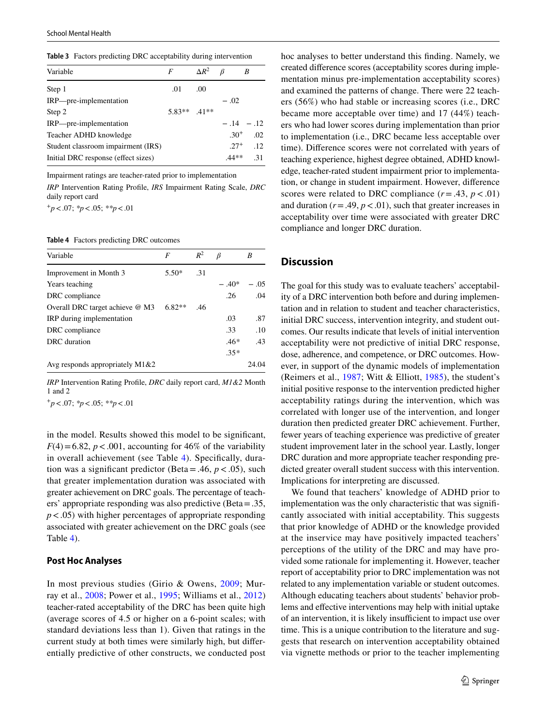<span id="page-10-0"></span>**Table 3** Factors predicting DRC acceptability during intervention

| Variable                            | F             | $\Delta R^2$     |           | R          |
|-------------------------------------|---------------|------------------|-----------|------------|
| Step 1                              | .01           | .00 <sub>1</sub> |           |            |
| IRP—pre-implementation              |               |                  | $-.02$    |            |
| Step 2                              | $5.83**$ 41** |                  |           |            |
| IRP—pre-implementation              |               |                  |           | $-.14-.12$ |
| Teacher ADHD knowledge              |               |                  | $30^{+}$  | .02        |
| Student classroom impairment (IRS)  |               |                  | $.27^{+}$ | .12        |
| Initial DRC response (effect sizes) |               |                  | $.44**$   | $-31$      |

Impairment ratings are teacher-rated prior to implementation

*IRP* Intervention Rating Profle, *IRS* Impairment Rating Scale, *DRC* daily report card

<sup>+</sup>*p*<.07; *\*p*<.05; *\*\*p*<.01

<span id="page-10-1"></span>**Table 4** Factors predicting DRC outcomes

| Variable                          | F        | $R^2$ |        | R     |
|-----------------------------------|----------|-------|--------|-------|
| Improvement in Month 3            | $5.50*$  | $-31$ |        |       |
| Years teaching                    |          |       | $-40*$ | - 05  |
| DRC compliance                    |          |       | .26    | .04   |
| Overall DRC target achieve $@$ M3 | $6.82**$ | -46   |        |       |
| IRP during implementation         |          |       | .03    | .87   |
| DRC compliance                    |          |       | .33    | .10   |
| DRC duration                      |          |       | $.46*$ | .43   |
|                                   |          |       | $.35*$ |       |
| Avg responds appropriately M1&2   |          |       |        | 24.04 |

*IRP* Intervention Rating Profle, *DRC* daily report card, *M1&2* Month 1 and 2

<sup>+</sup>*p*<.07; *\*p*<.05; *\*\*p*<.01

in the model. Results showed this model to be signifcant,  $F(4)=6.82$ ,  $p < .001$ , accounting for 46% of the variability in overall achievement (see Table [4\)](#page-10-1). Specifcally, duration was a significant predictor (Beta = .46,  $p < .05$ ), such that greater implementation duration was associated with greater achievement on DRC goals. The percentage of teachers' appropriate responding was also predictive (Beta=.35, *p*<.05) with higher percentages of appropriate responding associated with greater achievement on the DRC goals (see Table [4](#page-10-1)).

## **Post Hoc Analyses**

In most previous studies (Girio & Owens, [2009](#page-13-17); Murray et al., [2008](#page-14-17); Power et al., [1995](#page-14-15); Williams et al., [2012\)](#page-14-18) teacher-rated acceptability of the DRC has been quite high (average scores of 4.5 or higher on a 6-point scales; with standard deviations less than 1). Given that ratings in the current study at both times were similarly high, but diferentially predictive of other constructs, we conducted post hoc analyses to better understand this fnding. Namely, we created diference scores (acceptability scores during implementation minus pre-implementation acceptability scores) and examined the patterns of change. There were 22 teachers (56%) who had stable or increasing scores (i.e., DRC became more acceptable over time) and 17 (44%) teachers who had lower scores during implementation than prior to implementation (i.e., DRC became less acceptable over time). Diference scores were not correlated with years of teaching experience, highest degree obtained, ADHD knowledge, teacher-rated student impairment prior to implementation, or change in student impairment. However, diference scores were related to DRC compliance  $(r = .43, p < .01)$ and duration  $(r = .49, p < .01)$ , such that greater increases in acceptability over time were associated with greater DRC compliance and longer DRC duration.

## **Discussion**

The goal for this study was to evaluate teachers' acceptability of a DRC intervention both before and during implementation and in relation to student and teacher characteristics, initial DRC success, intervention integrity, and student outcomes. Our results indicate that levels of initial intervention acceptability were not predictive of initial DRC response, dose, adherence, and competence, or DRC outcomes. However, in support of the dynamic models of implementation (Reimers et al., [1987](#page-14-12); Witt & Elliott, [1985](#page-14-11)), the student's initial positive response to the intervention predicted higher acceptability ratings during the intervention, which was correlated with longer use of the intervention, and longer duration then predicted greater DRC achievement. Further, fewer years of teaching experience was predictive of greater student improvement later in the school year. Lastly, longer DRC duration and more appropriate teacher responding predicted greater overall student success with this intervention. Implications for interpreting are discussed.

We found that teachers' knowledge of ADHD prior to implementation was the only characteristic that was signifcantly associated with initial acceptability. This suggests that prior knowledge of ADHD or the knowledge provided at the inservice may have positively impacted teachers' perceptions of the utility of the DRC and may have provided some rationale for implementing it. However, teacher report of acceptability prior to DRC implementation was not related to any implementation variable or student outcomes. Although educating teachers about students' behavior problems and efective interventions may help with initial uptake of an intervention, it is likely insufficient to impact use over time. This is a unique contribution to the literature and suggests that research on intervention acceptability obtained via vignette methods or prior to the teacher implementing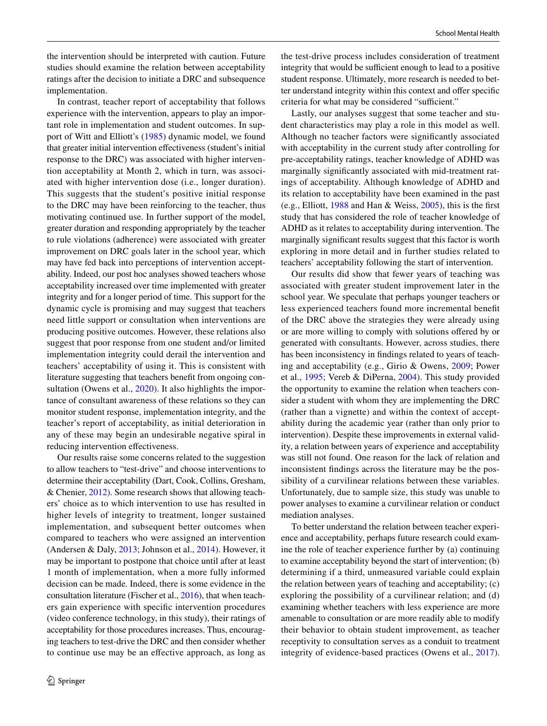In contrast, teacher report of acceptability that follows experience with the intervention, appears to play an important role in implementation and student outcomes. In support of Witt and Elliott's [\(1985](#page-14-11)) dynamic model, we found that greater initial intervention efectiveness (student's initial response to the DRC) was associated with higher intervention acceptability at Month 2, which in turn, was associated with higher intervention dose (i.e., longer duration). This suggests that the student's positive initial response to the DRC may have been reinforcing to the teacher, thus motivating continued use. In further support of the model, greater duration and responding appropriately by the teacher to rule violations (adherence) were associated with greater improvement on DRC goals later in the school year, which may have fed back into perceptions of intervention acceptability. Indeed, our post hoc analyses showed teachers whose acceptability increased over time implemented with greater integrity and for a longer period of time. This support for the dynamic cycle is promising and may suggest that teachers need little support or consultation when interventions are producing positive outcomes. However, these relations also suggest that poor response from one student and/or limited implementation integrity could derail the intervention and teachers' acceptability of using it. This is consistent with literature suggesting that teachers beneft from ongoing con-sultation (Owens et al., [2020\)](#page-14-29). It also highlights the importance of consultant awareness of these relations so they can monitor student response, implementation integrity, and the teacher's report of acceptability, as initial deterioration in any of these may begin an undesirable negative spiral in reducing intervention effectiveness.

Our results raise some concerns related to the suggestion to allow teachers to "test-drive" and choose interventions to determine their acceptability (Dart, Cook, Collins, Gresham, & Chenier, [2012\)](#page-13-26). Some research shows that allowing teachers' choice as to which intervention to use has resulted in higher levels of integrity to treatment, longer sustained implementation, and subsequent better outcomes when compared to teachers who were assigned an intervention (Andersen & Daly, [2013;](#page-13-13) Johnson et al., [2014](#page-13-14)). However, it may be important to postpone that choice until after at least 1 month of implementation, when a more fully informed decision can be made. Indeed, there is some evidence in the consultation literature (Fischer et al., [2016\)](#page-13-27), that when teachers gain experience with specifc intervention procedures (video conference technology, in this study), their ratings of acceptability for those procedures increases. Thus, encouraging teachers to test-drive the DRC and then consider whether to continue use may be an efective approach, as long as the test-drive process includes consideration of treatment integrity that would be sufficient enough to lead to a positive student response. Ultimately, more research is needed to better understand integrity within this context and offer specific criteria for what may be considered "sufficient."

Lastly, our analyses suggest that some teacher and student characteristics may play a role in this model as well. Although no teacher factors were signifcantly associated with acceptability in the current study after controlling for pre-acceptability ratings, teacher knowledge of ADHD was marginally signifcantly associated with mid-treatment ratings of acceptability. Although knowledge of ADHD and its relation to acceptability have been examined in the past (e.g., Elliott, [1988](#page-13-18) and Han & Weiss, [2005\)](#page-13-19), this is the frst study that has considered the role of teacher knowledge of ADHD as it relates to acceptability during intervention. The marginally signifcant results suggest that this factor is worth exploring in more detail and in further studies related to teachers' acceptability following the start of intervention.

Our results did show that fewer years of teaching was associated with greater student improvement later in the school year. We speculate that perhaps younger teachers or less experienced teachers found more incremental beneft of the DRC above the strategies they were already using or are more willing to comply with solutions ofered by or generated with consultants. However, across studies, there has been inconsistency in fndings related to years of teaching and acceptability (e.g., Girio & Owens, [2009;](#page-13-17) Power et al., [1995;](#page-14-15) Vereb & DiPerna, [2004](#page-14-19)). This study provided the opportunity to examine the relation when teachers consider a student with whom they are implementing the DRC (rather than a vignette) and within the context of acceptability during the academic year (rather than only prior to intervention). Despite these improvements in external validity, a relation between years of experience and acceptability was still not found. One reason for the lack of relation and inconsistent fndings across the literature may be the possibility of a curvilinear relations between these variables. Unfortunately, due to sample size, this study was unable to power analyses to examine a curvilinear relation or conduct mediation analyses.

To better understand the relation between teacher experience and acceptability, perhaps future research could examine the role of teacher experience further by (a) continuing to examine acceptability beyond the start of intervention; (b) determining if a third, unmeasured variable could explain the relation between years of teaching and acceptability; (c) exploring the possibility of a curvilinear relation; and (d) examining whether teachers with less experience are more amenable to consultation or are more readily able to modify their behavior to obtain student improvement, as teacher receptivity to consultation serves as a conduit to treatment integrity of evidence-based practices (Owens et al., [2017](#page-14-22)).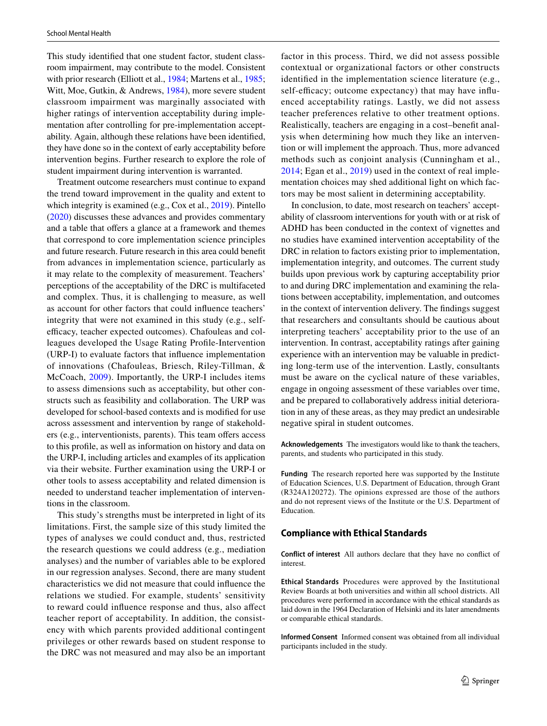This study identifed that one student factor, student classroom impairment, may contribute to the model. Consistent with prior research (Elliott et al., [1984](#page-13-16); Martens et al., [1985](#page-14-20); Witt, Moe, Gutkin, & Andrews, [1984](#page-14-30)), more severe student classroom impairment was marginally associated with higher ratings of intervention acceptability during implementation after controlling for pre-implementation acceptability. Again, although these relations have been identifed, they have done so in the context of early acceptability before intervention begins. Further research to explore the role of student impairment during intervention is warranted.

Treatment outcome researchers must continue to expand the trend toward improvement in the quality and extent to which integrity is examined (e.g., Cox et al., [2019\)](#page-13-9). Pintello [\(2020\)](#page-14-31) discusses these advances and provides commentary and a table that offers a glance at a framework and themes that correspond to core implementation science principles and future research. Future research in this area could beneft from advances in implementation science, particularly as it may relate to the complexity of measurement. Teachers' perceptions of the acceptability of the DRC is multifaceted and complex. Thus, it is challenging to measure, as well as account for other factors that could infuence teachers' integrity that were not examined in this study (e.g., selfefficacy, teacher expected outcomes). Chafouleas and colleagues developed the Usage Rating Profle-Intervention (URP-I) to evaluate factors that infuence implementation of innovations (Chafouleas, Briesch, Riley-Tillman, & McCoach, [2009\)](#page-13-28). Importantly, the URP-I includes items to assess dimensions such as acceptability, but other constructs such as feasibility and collaboration. The URP was developed for school-based contexts and is modifed for use across assessment and intervention by range of stakeholders (e.g., interventionists, parents). This team offers access to this profle, as well as information on history and data on the URP-I, including articles and examples of its application via their website. Further examination using the URP-I or other tools to assess acceptability and related dimension is needed to understand teacher implementation of interventions in the classroom.

This study's strengths must be interpreted in light of its limitations. First, the sample size of this study limited the types of analyses we could conduct and, thus, restricted the research questions we could address (e.g., mediation analyses) and the number of variables able to be explored in our regression analyses. Second, there are many student characteristics we did not measure that could infuence the relations we studied. For example, students' sensitivity to reward could infuence response and thus, also afect teacher report of acceptability. In addition, the consistency with which parents provided additional contingent privileges or other rewards based on student response to the DRC was not measured and may also be an important factor in this process. Third, we did not assess possible contextual or organizational factors or other constructs identifed in the implementation science literature (e.g., self-efficacy; outcome expectancy) that may have influenced acceptability ratings. Lastly, we did not assess teacher preferences relative to other treatment options. Realistically, teachers are engaging in a cost–beneft analysis when determining how much they like an intervention or will implement the approach. Thus, more advanced methods such as conjoint analysis (Cunningham et al., [2014;](#page-13-29) Egan et al., [2019\)](#page-13-30) used in the context of real implementation choices may shed additional light on which factors may be most salient in determining acceptability.

In conclusion, to date, most research on teachers' acceptability of classroom interventions for youth with or at risk of ADHD has been conducted in the context of vignettes and no studies have examined intervention acceptability of the DRC in relation to factors existing prior to implementation, implementation integrity, and outcomes. The current study builds upon previous work by capturing acceptability prior to and during DRC implementation and examining the relations between acceptability, implementation, and outcomes in the context of intervention delivery. The fndings suggest that researchers and consultants should be cautious about interpreting teachers' acceptability prior to the use of an intervention. In contrast, acceptability ratings after gaining experience with an intervention may be valuable in predicting long-term use of the intervention. Lastly, consultants must be aware on the cyclical nature of these variables, engage in ongoing assessment of these variables over time, and be prepared to collaboratively address initial deterioration in any of these areas, as they may predict an undesirable negative spiral in student outcomes.

**Acknowledgements** The investigators would like to thank the teachers, parents, and students who participated in this study.

**Funding** The research reported here was supported by the Institute of Education Sciences, U.S. Department of Education, through Grant (R324A120272). The opinions expressed are those of the authors and do not represent views of the Institute or the U.S. Department of Education.

#### **Compliance with Ethical Standards**

**Conflict of interest** All authors declare that they have no confict of interest.

**Ethical Standards** Procedures were approved by the Institutional Review Boards at both universities and within all school districts. All procedures were performed in accordance with the ethical standards as laid down in the 1964 Declaration of Helsinki and its later amendments or comparable ethical standards.

**Informed Consent** Informed consent was obtained from all individual participants included in the study.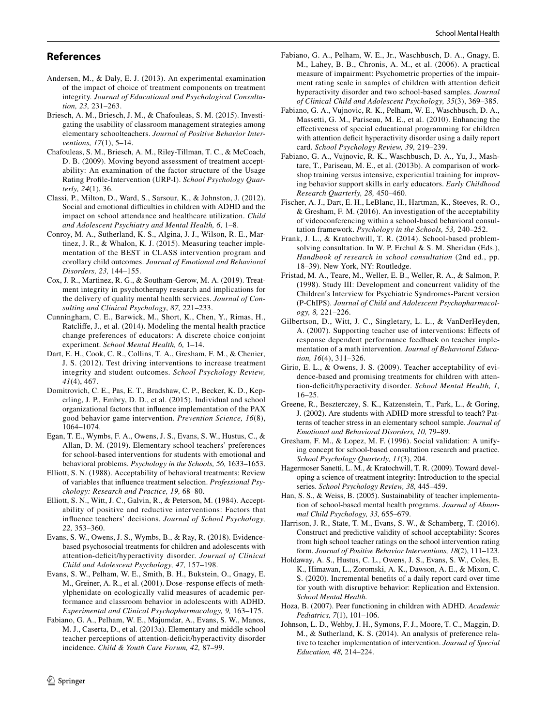# **References**

- <span id="page-13-13"></span>Andersen, M., & Daly, E. J. (2013). An experimental examination of the impact of choice of treatment components on treatment integrity. *Journal of Educational and Psychological Consultation, 23,* 231–263.
- <span id="page-13-15"></span>Briesch, A. M., Briesch, J. M., & Chafouleas, S. M. (2015). Investigating the usability of classroom management strategies among elementary schoolteachers. *Journal of Positive Behavior Interventions, 17*(1), 5–14.
- <span id="page-13-28"></span>Chafouleas, S. M., Briesch, A. M., Riley-Tillman, T. C., & McCoach, D. B. (2009). Moving beyond assessment of treatment acceptability: An examination of the factor structure of the Usage Rating Profle-Intervention (URP-I). *School Psychology Quarterly, 24*(1), 36.
- <span id="page-13-2"></span>Classi, P., Milton, D., Ward, S., Sarsour, K., & Johnston, J. (2012). Social and emotional difficulties in children with ADHD and the impact on school attendance and healthcare utilization. *Child and Adolescent Psychiatry and Mental Health, 6,* 1–8.
- <span id="page-13-8"></span>Conroy, M. A., Sutherland, K. S., Algina, J. J., Wilson, R. E., Martinez, J. R., & Whalon, K. J. (2015). Measuring teacher implementation of the BEST in CLASS intervention program and corollary child outcomes. *Journal of Emotional and Behavioral Disorders, 23,* 144–155.
- <span id="page-13-9"></span>Cox, J. R., Martinez, R. G., & Southam-Gerow, M. A. (2019). Treatment integrity in psychotherapy research and implications for the delivery of quality mental health services. *Journal of Consulting and Clinical Psychology, 87,* 221–233.
- <span id="page-13-29"></span>Cunningham, C. E., Barwick, M., Short, K., Chen, Y., Rimas, H., Ratclife, J., et al. (2014). Modeling the mental health practice change preferences of educators: A discrete choice conjoint experiment. *School Mental Health, 6,* 1–14.
- <span id="page-13-26"></span>Dart, E. H., Cook, C. R., Collins, T. A., Gresham, F. M., & Chenier, J. S. (2012). Test driving interventions to increase treatment integrity and student outcomes. *School Psychology Review, 41*(4), 467.
- <span id="page-13-20"></span>Domitrovich, C. E., Pas, E. T., Bradshaw, C. P., Becker, K. D., Keperling, J. P., Embry, D. D., et al. (2015). Individual and school organizational factors that infuence implementation of the PAX good behavior game intervention. *Prevention Science, 16*(8), 1064–1074.
- <span id="page-13-30"></span>Egan, T. E., Wymbs, F. A., Owens, J. S., Evans, S. W., Hustus, C., & Allan, D. M. (2019). Elementary school teachers' preferences for school-based interventions for students with emotional and behavioral problems. *Psychology in the Schools, 56,* 1633–1653.
- <span id="page-13-18"></span>Elliott, S. N. (1988). Acceptability of behavioral treatments: Review of variables that infuence treatment selection. *Professional Psychology: Research and Practice, 19,* 68–80.
- <span id="page-13-16"></span>Elliott, S. N., Witt, J. C., Galvin, R., & Peterson, M. (1984). Acceptability of positive and reductive interventions: Factors that infuence teachers' decisions. *Journal of School Psychology, 22,* 353–360.
- <span id="page-13-5"></span>Evans, S. W., Owens, J. S., Wymbs, B., & Ray, R. (2018). Evidencebased psychosocial treatments for children and adolescents with attention-defcit/hyperactivity disorder. *Journal of Clinical Child and Adolescent Psychology, 47,* 157–198.
- <span id="page-13-25"></span>Evans, S. W., Pelham, W. E., Smith, B. H., Bukstein, O., Gnagy, E. M., Greiner, A. R., et al. (2001). Dose–response effects of methylphenidate on ecologically valid measures of academic performance and classroom behavior in adolescents with ADHD. *Experimental and Clinical Psychopharmacology, 9,* 163–175.
- <span id="page-13-0"></span>Fabiano, G. A., Pelham, W. E., Majumdar, A., Evans, S. W., Manos, M. J., Caserta, D., et al. (2013a). Elementary and middle school teacher perceptions of attention-defcit/hyperactivity disorder incidence. *Child & Youth Care Forum, 42,* 87–99.
- <span id="page-13-22"></span>Fabiano, G. A., Pelham, W. E., Jr., Waschbusch, D. A., Gnagy, E. M., Lahey, B. B., Chronis, A. M., et al. (2006). A practical measure of impairment: Psychometric properties of the impairment rating scale in samples of children with attention defcit hyperactivity disorder and two school-based samples. *Journal of Clinical Child and Adolescent Psychology, 35*(3), 369–385.
- <span id="page-13-6"></span>Fabiano, G. A., Vujnovic, R. K., Pelham, W. E., Waschbusch, D. A., Massetti, G. M., Pariseau, M. E., et al. (2010). Enhancing the efectiveness of special educational programming for children with attention deficit hyperactivity disorder using a daily report card. *School Psychology Review, 39,* 219–239.
- <span id="page-13-1"></span>Fabiano, G. A., Vujnovic, R. K., Waschbusch, D. A., Yu, J., Mashtare, T., Pariseau, M. E., et al. (2013b). A comparison of workshop training versus intensive, experiential training for improving behavior support skills in early educators. *Early Childhood Research Quarterly, 28,* 450–460.
- <span id="page-13-27"></span>Fischer, A. J., Dart, E. H., LeBlanc, H., Hartman, K., Steeves, R. O., & Gresham, F. M. (2016). An investigation of the acceptability of videoconferencing within a school-based behavioral consultation framework. *Psychology in the Schools, 53,* 240–252.
- <span id="page-13-23"></span>Frank, J. L., & Kratochwill, T. R. (2014). School-based problemsolving consultation. In W. P. Erchul & S. M. Sheridan (Eds.), *Handbook of research in school consultation* (2nd ed., pp. 18–39). New York, NY: Routledge.
- <span id="page-13-21"></span>Fristad, M. A., Teare, M., Weller, E. B., Weller, R. A., & Salmon, P. (1998). Study III: Development and concurrent validity of the Children's Interview for Psychiatric Syndromes-Parent version (P-ChIPS). *Journal of Child and Adolescent Psychopharmacology, 8,* 221–226.
- <span id="page-13-24"></span>Gilbertson, D., Witt, J. C., Singletary, L. L., & VanDerHeyden, A. (2007). Supporting teacher use of interventions: Efects of response dependent performance feedback on teacher implementation of a math intervention. *Journal of Behavioral Education, 16*(4), 311–326.
- <span id="page-13-17"></span>Girio, E. L., & Owens, J. S. (2009). Teacher acceptability of evidence-based and promising treatments for children with attention-defcit/hyperactivity disorder. *School Mental Health, 1,* 16–25.
- <span id="page-13-3"></span>Greene, R., Beszterczey, S. K., Katzenstein, T., Park, L., & Goring, J. (2002). Are students with ADHD more stressful to teach? Patterns of teacher stress in an elementary school sample. *Journal of Emotional and Behavioral Disorders, 10,* 79–89.
- <span id="page-13-12"></span>Gresham, F. M., & Lopez, M. F. (1996). Social validation: A unifying concept for school-based consultation research and practice. *School Psychology Quarterly, 11*(3), 204.
- <span id="page-13-10"></span>Hagermoser Sanetti, L. M., & Kratochwill, T. R. (2009). Toward developing a science of treatment integrity: Introduction to the special series. *School Psychology Review, 38,* 445–459.
- <span id="page-13-19"></span>Han, S. S., & Weiss, B. (2005). Sustainability of teacher implementation of school-based mental health programs. *Journal of Abnormal Child Psychology, 33,* 655–679.
- <span id="page-13-11"></span>Harrison, J. R., State, T. M., Evans, S. W., & Schamberg, T. (2016). Construct and predictive validity of school acceptability: Scores from high school teacher ratings on the school intervention rating form. *Journal of Positive Behavior Interventions, 18*(2), 111–123.
- <span id="page-13-7"></span>Holdaway, A. S., Hustus, C. L., Owens, J. S., Evans, S. W., Coles, E. K., Himawan, L., Zoromski, A. K., Dawson, A. E., & Mixon, C. S. (2020). Incremental benefts of a daily report card over time for youth with disruptive behavior: Replication and Extension. *School Mental Health.*
- <span id="page-13-4"></span>Hoza, B. (2007). Peer functioning in children with ADHD. *Academic Pediatrics, 7*(1), 101–106.
- <span id="page-13-14"></span>Johnson, L. D., Wehby, J. H., Symons, F. J., Moore, T. C., Maggin, D. M., & Sutherland, K. S. (2014). An analysis of preference relative to teacher implementation of intervention. *Journal of Special Education, 48,* 214–224.